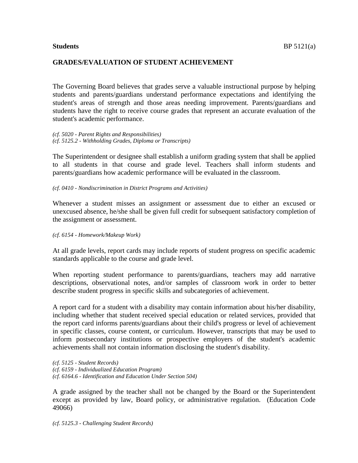## **GRADES/EVALUATION OF STUDENT ACHIEVEMENT**

The Governing Board believes that grades serve a valuable instructional purpose by helping students and parents/guardians understand performance expectations and identifying the student's areas of strength and those areas needing improvement. Parents/guardians and students have the right to receive course grades that represent an accurate evaluation of the student's academic performance.

*(cf. 5020 - Parent Rights and Responsibilities) (cf. 5125.2 - Withholding Grades, Diploma or Transcripts)*

The Superintendent or designee shall establish a uniform grading system that shall be applied to all students in that course and grade level. Teachers shall inform students and parents/guardians how academic performance will be evaluated in the classroom.

*(cf. 0410 - Nondiscrimination in District Programs and Activities)*

Whenever a student misses an assignment or assessment due to either an excused or unexcused absence, he/she shall be given full credit for subsequent satisfactory completion of the assignment or assessment.

#### *(cf. 6154 - Homework/Makeup Work)*

At all grade levels, report cards may include reports of student progress on specific academic standards applicable to the course and grade level.

When reporting student performance to parents/guardians, teachers may add narrative descriptions, observational notes, and/or samples of classroom work in order to better describe student progress in specific skills and subcategories of achievement.

A report card for a student with a disability may contain information about his/her disability, including whether that student received special education or related services, provided that the report card informs parents/guardians about their child's progress or level of achievement in specific classes, course content, or curriculum. However, transcripts that may be used to inform postsecondary institutions or prospective employers of the student's academic achievements shall not contain information disclosing the student's disability.

*(cf. 5125 - Student Records) (cf. 6159 - Individualized Education Program) (cf. 6164.6 - Identification and Education Under Section 504)*

A grade assigned by the teacher shall not be changed by the Board or the Superintendent except as provided by law, Board policy, or administrative regulation. (Education Code 49066)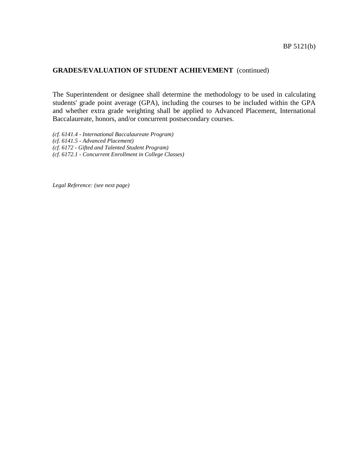The Superintendent or designee shall determine the methodology to be used in calculating students' grade point average (GPA), including the courses to be included within the GPA and whether extra grade weighting shall be applied to Advanced Placement, International Baccalaureate, honors, and/or concurrent postsecondary courses.

*(cf. 6141.4 - International Baccalaureate Program) (cf. 6141.5 - Advanced Placement) (cf. 6172 - Gifted and Talented Student Program)*

*(cf. 6172.1 - Concurrent Enrollment in College Classes)*

*Legal Reference: (see next page)*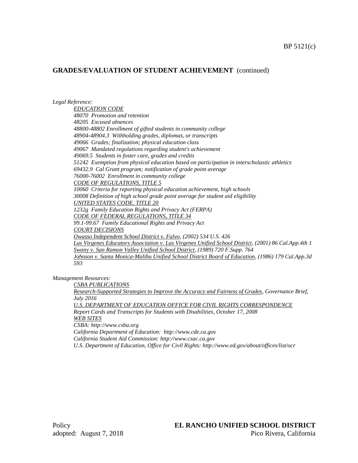*Legal Reference:*

*EDUCATION CODE 48070 Promotion and retention 48205 Excused absences 48800-48802 Enrollment of gifted students in community college 48904-48904.3 Withholding grades, diplomas, or transcripts 49066 Grades; finalization; physical education class 49067 Mandated regulations regarding student's achievement 49069.5 Students in foster care, grades and credits 51242 Exemption from physical education based on participation in interscholastic athletics 69432.9 Cal Grant program; notification of grade point average 76000-76002 Enrollment in community college CODE OF REGULATIONS, TITLE 5 10060 Criteria for reporting physical education achievement, high schools 30008 Definition of high school grade point average for student aid eligibility UNITED STATES CODE, TITLE 20 1232g Family Education Rights and Privacy Act (FERPA) CODE OF FEDERAL REGULATIONS, TITLE 34 99.1-99.67 Family Educational Rights and Privacy Act COURT DECISIONS Owasso Independent School District v. Falvo, (2002) 534 U.S. 426 Las Virgenes Educators Association v. Las Virgenes Unified School District, (2001) 86 Cal.App.4th 1 Swany v. San Ramon Valley Unified School District, (1989) 720 F.Supp. 764 Johnson v. Santa Monica-Malibu Unified School District Board of Education, (1986) 179 Cal.App.3d 593*

*Management Resources:*

*CSBA PUBLICATIONS*

*Research-Supported Strategies to Improve the Accuracy and Fairness of Grades, Governance Brief, July 2016*

*U.S. DEPARTMENT OF EDUCATION OFFICE FOR CIVIL RIGHTS CORRESPONDENCE Report Cards and Transcripts for Students with Disabilities, October 17, 2008 WEB SITES*

*CSBA: http://www.csba.org California Department of Education: http://www.cde.ca.gov California Student Aid Commission: http://www.csac.ca.gov*

*U.S. Department of Education, Office for Civil Rights: http://www.ed.gov/about/offices/list/ocr*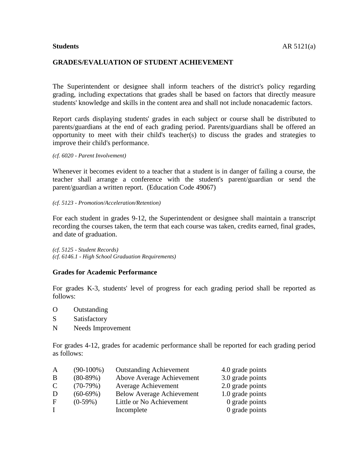### **GRADES/EVALUATION OF STUDENT ACHIEVEMENT**

The Superintendent or designee shall inform teachers of the district's policy regarding grading, including expectations that grades shall be based on factors that directly measure students' knowledge and skills in the content area and shall not include nonacademic factors.

Report cards displaying students' grades in each subject or course shall be distributed to parents/guardians at the end of each grading period. Parents/guardians shall be offered an opportunity to meet with their child's teacher(s) to discuss the grades and strategies to improve their child's performance.

*(cf. 6020 - Parent Involvement)*

Whenever it becomes evident to a teacher that a student is in danger of failing a course, the teacher shall arrange a conference with the student's parent/guardian or send the parent/guardian a written report. (Education Code 49067)

*(cf. 5123 - Promotion/Acceleration/Retention)*

For each student in grades 9-12, the Superintendent or designee shall maintain a transcript recording the courses taken, the term that each course was taken, credits earned, final grades, and date of graduation.

*(cf. 5125 - Student Records) (cf. 6146.1 - High School Graduation Requirements)*

### **Grades for Academic Performance**

For grades K-3, students' level of progress for each grading period shall be reported as follows:

- O Outstanding
- S Satisfactory
- N Needs Improvement

For grades 4-12, grades for academic performance shall be reported for each grading period as follows:

| $(90-100\%)$ | <b>Outstanding Achievement</b>   | 4.0 grade points |
|--------------|----------------------------------|------------------|
| $(80-89%)$   | Above Average Achievement        | 3.0 grade points |
| $(70-79%)$   | <b>Average Achievement</b>       | 2.0 grade points |
| $(60-69%)$   | <b>Below Average Achievement</b> | 1.0 grade points |
| $(0-59\%)$   | Little or No Achievement         | 0 grade points   |
|              | Incomplete                       | 0 grade points   |
|              |                                  |                  |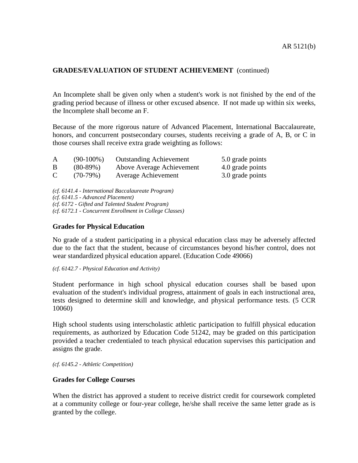An Incomplete shall be given only when a student's work is not finished by the end of the grading period because of illness or other excused absence. If not made up within six weeks, the Incomplete shall become an F.

Because of the more rigorous nature of Advanced Placement, International Baccalaureate, honors, and concurrent postsecondary courses, students receiving a grade of A, B, or C in those courses shall receive extra grade weighting as follows:

| A           | $(90-100\%)$ | <b>Outstanding Achievement</b> | 5.0 grade points |
|-------------|--------------|--------------------------------|------------------|
| B           | $(80-89%)$   | Above Average Achievement      | 4.0 grade points |
| $\mathbf C$ | $(70-79%)$   | Average Achievement            | 3.0 grade points |

*(cf. 6141.4 - International Baccalaureate Program) (cf. 6141.5 - Advanced Placement) (cf. 6172 - Gifted and Talented Student Program) (cf. 6172.1 - Concurrent Enrollment in College Classes)*

### **Grades for Physical Education**

No grade of a student participating in a physical education class may be adversely affected due to the fact that the student, because of circumstances beyond his/her control, does not wear standardized physical education apparel. (Education Code 49066)

*(cf. 6142.7 - Physical Education and Activity)*

Student performance in high school physical education courses shall be based upon evaluation of the student's individual progress, attainment of goals in each instructional area, tests designed to determine skill and knowledge, and physical performance tests. (5 CCR 10060)

High school students using interscholastic athletic participation to fulfill physical education requirements, as authorized by Education Code 51242, may be graded on this participation provided a teacher credentialed to teach physical education supervises this participation and assigns the grade.

*(cf. 6145.2 - Athletic Competition)*

### **Grades for College Courses**

When the district has approved a student to receive district credit for coursework completed at a community college or four-year college, he/she shall receive the same letter grade as is granted by the college.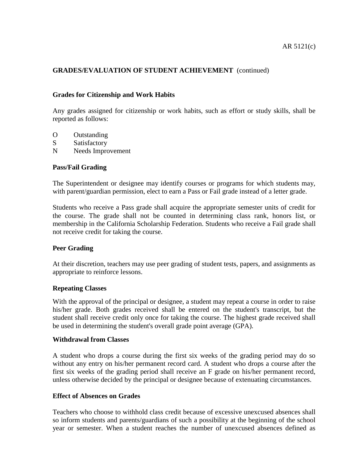## **Grades for Citizenship and Work Habits**

Any grades assigned for citizenship or work habits, such as effort or study skills, shall be reported as follows:

- O Outstanding
- S Satisfactory
- N Needs Improvement

# **Pass/Fail Grading**

The Superintendent or designee may identify courses or programs for which students may, with parent/guardian permission, elect to earn a Pass or Fail grade instead of a letter grade.

Students who receive a Pass grade shall acquire the appropriate semester units of credit for the course. The grade shall not be counted in determining class rank, honors list, or membership in the California Scholarship Federation. Students who receive a Fail grade shall not receive credit for taking the course.

### **Peer Grading**

At their discretion, teachers may use peer grading of student tests, papers, and assignments as appropriate to reinforce lessons.

### **Repeating Classes**

With the approval of the principal or designee, a student may repeat a course in order to raise his/her grade. Both grades received shall be entered on the student's transcript, but the student shall receive credit only once for taking the course. The highest grade received shall be used in determining the student's overall grade point average (GPA).

### **Withdrawal from Classes**

A student who drops a course during the first six weeks of the grading period may do so without any entry on his/her permanent record card. A student who drops a course after the first six weeks of the grading period shall receive an F grade on his/her permanent record, unless otherwise decided by the principal or designee because of extenuating circumstances.

## **Effect of Absences on Grades**

Teachers who choose to withhold class credit because of excessive unexcused absences shall so inform students and parents/guardians of such a possibility at the beginning of the school year or semester. When a student reaches the number of unexcused absences defined as